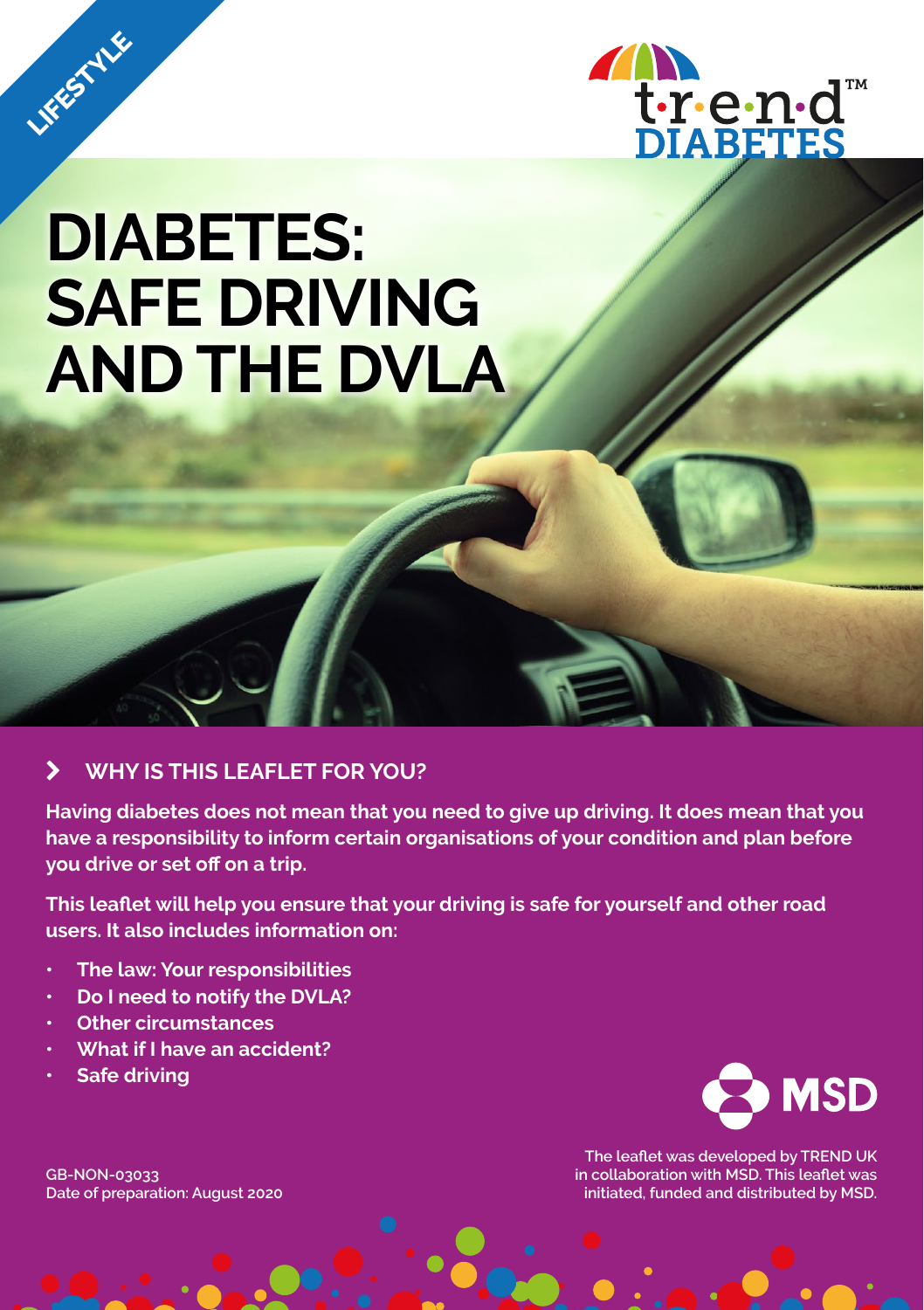

# **DIABETES: SAFE DRIVING AND THE DVLA**

### k **WHY IS THIS LEAFLET FOR YOU?**

**Having diabetes does not mean that you need to give up driving. It does mean that you have a responsibility to inform certain organisations of your condition and plan before you drive or set off on a trip.**

**This leaflet will help you ensure that your driving is safe for yourself and other road users. It also includes information on:**

- **• The law: Your responsibilities**
- **• Do I need to notify the DVLA?**
- **• Other circumstances**
- **• What if I have an accident?**
- **• Safe driving**

LIFESTYLE





**The leaflet was developed by TREND UK in collaboration with MSD. This leaflet was initiated, funded and distributed by MSD.**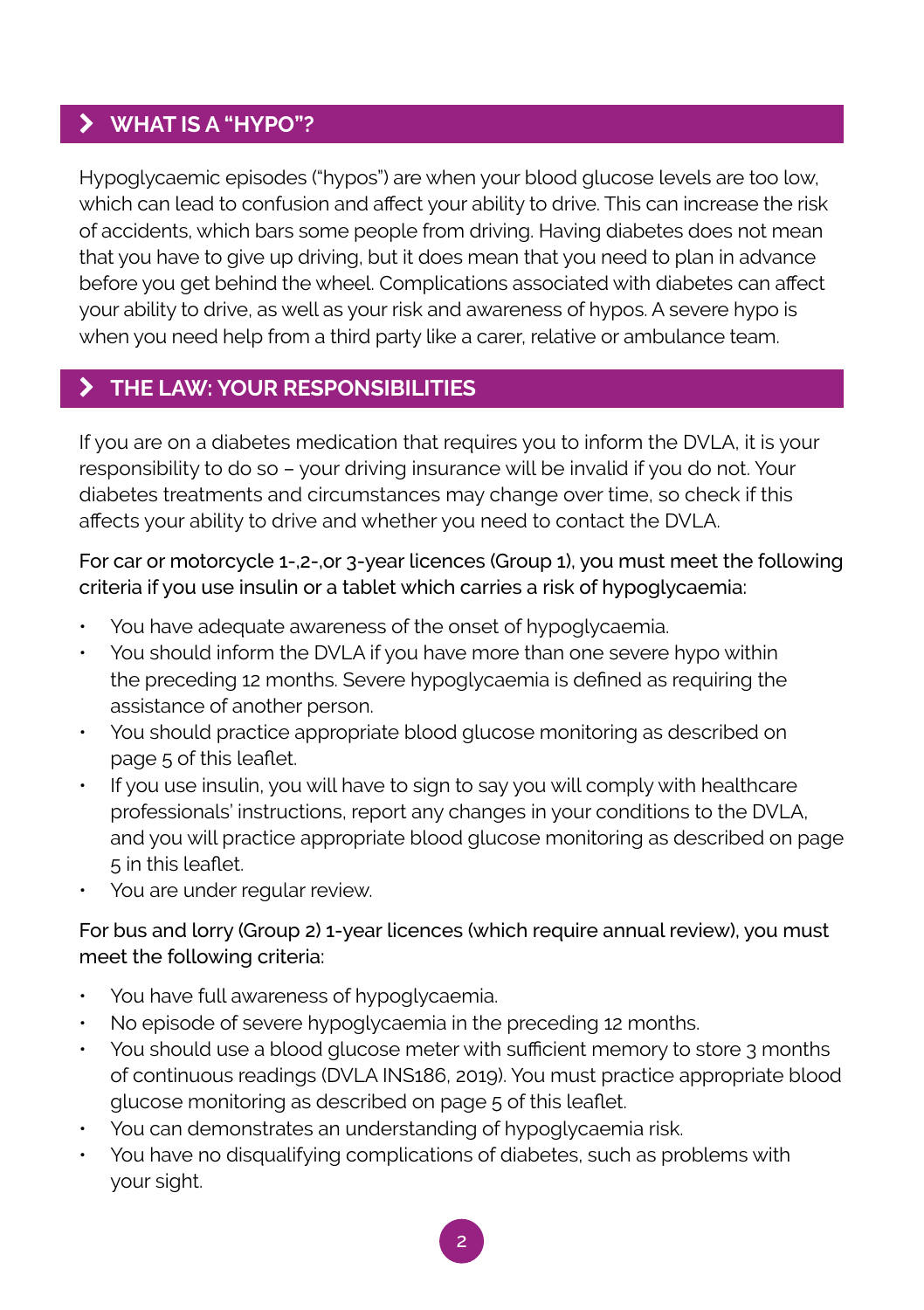## k **WHAT IS A "HYPO"?**

Hypoglycaemic episodes ("hypos") are when your blood glucose levels are too low, which can lead to confusion and affect your ability to drive. This can increase the risk of accidents, which bars some people from driving. Having diabetes does not mean that you have to give up driving, but it does mean that you need to plan in advance before you get behind the wheel. Complications associated with diabetes can affect your ability to drive, as well as your risk and awareness of hypos. A severe hypo is when you need help from a third party like a carer, relative or ambulance team.

## k **THE LAW: YOUR RESPONSIBILITIES**

If you are on a diabetes medication that requires you to inform the DVLA, it is your responsibility to do so – your driving insurance will be invalid if you do not. Your diabetes treatments and circumstances may change over time, so check if this affects your ability to drive and whether you need to contact the DVLA.

For car or motorcycle 1-,2-,or 3-year licences (Group 1), you must meet the following criteria if you use insulin or a tablet which carries a risk of hypoglycaemia:

- You have adequate awareness of the onset of hypoglycaemia.
- You should inform the DVLA if you have more than one severe hypo within the preceding 12 months. Severe hypoglycaemia is defined as requiring the assistance of another person.
- You should practice appropriate blood glucose monitoring as described on page 5 of this leaflet.
- If you use insulin, you will have to sign to say you will comply with healthcare professionals' instructions, report any changes in your conditions to the DVLA, and you will practice appropriate blood glucose monitoring as described on page 5 in this leaflet.
- You are under regular review.

#### For bus and lorry (Group 2) 1-year licences (which require annual review), you must meet the following criteria:

- You have full awareness of hypoglycaemia.
- No episode of severe hypoglycaemia in the preceding 12 months.
- You should use a blood glucose meter with sufficient memory to store 3 months of continuous readings (DVLA INS186, 2019). You must practice appropriate blood glucose monitoring as described on page 5 of this leaflet.
- You can demonstrates an understanding of hypoglycaemia risk.
- You have no disqualifying complications of diabetes, such as problems with your sight.

2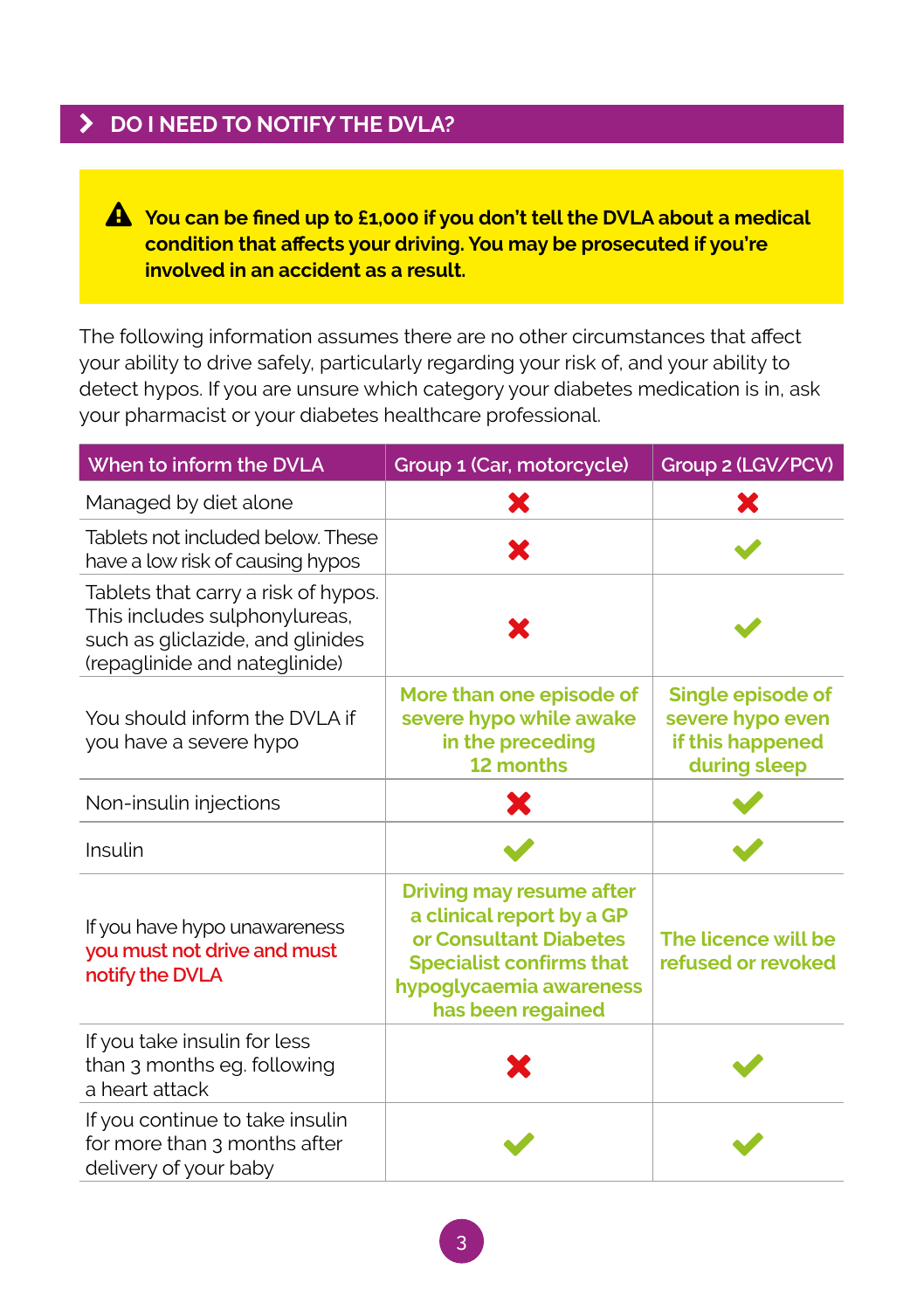# **EX DO I NEED TO NOTIFY THE DVLA?**

 **You can be fined up to £1,000 if you don't tell the DVLA about a medical condition that affects your driving. You may be prosecuted if you're involved in an accident as a result.**

The following information assumes there are no other circumstances that affect your ability to drive safely, particularly regarding your risk of, and your ability to detect hypos. If you are unsure which category your diabetes medication is in, ask your pharmacist or your diabetes healthcare professional.

| When to inform the DVLA                                                                                                                   | Group 1 (Car, motorcycle)                                                                                                                                                 | Group 2 (LGV/PCV)                                                         |
|-------------------------------------------------------------------------------------------------------------------------------------------|---------------------------------------------------------------------------------------------------------------------------------------------------------------------------|---------------------------------------------------------------------------|
| Managed by diet alone                                                                                                                     | Х                                                                                                                                                                         |                                                                           |
| Tablets not included below. These<br>have a low risk of causing hypos                                                                     | X                                                                                                                                                                         |                                                                           |
| Tablets that carry a risk of hypos.<br>This includes sulphonylureas,<br>such as gliclazide, and glinides<br>(repaglinide and nateglinide) | x                                                                                                                                                                         |                                                                           |
| You should inform the DVLA if<br>you have a severe hypo                                                                                   | More than one episode of<br>severe hypo while awake<br>in the preceding<br>12 months                                                                                      | Single episode of<br>severe hypo even<br>if this happened<br>during sleep |
| Non-insulin injections                                                                                                                    | X                                                                                                                                                                         |                                                                           |
| Insulin                                                                                                                                   |                                                                                                                                                                           |                                                                           |
| If you have hypo unawareness<br>you must not drive and must<br>notify the DVLA                                                            | <b>Driving may resume after</b><br>a clinical report by a GP<br>or Consultant Diabetes<br><b>Specialist confirms that</b><br>hypoglycaemia awareness<br>has been regained | The licence will be<br>refused or revoked                                 |
| If you take insulin for less<br>than 3 months eg. following<br>a heart attack                                                             |                                                                                                                                                                           |                                                                           |
| If you continue to take insulin<br>for more than 3 months after<br>delivery of your baby                                                  |                                                                                                                                                                           |                                                                           |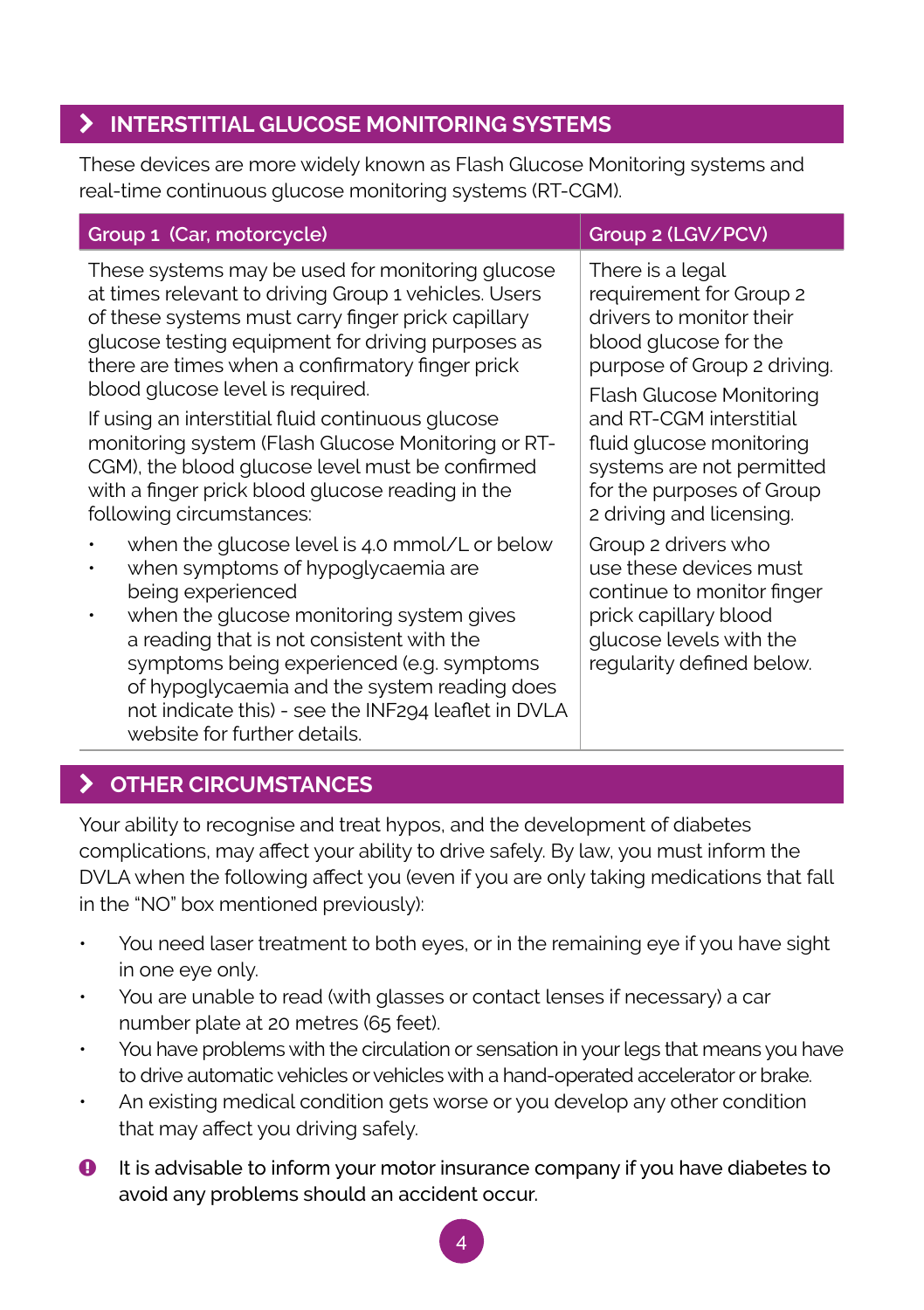## k **INTERSTITIAL GLUCOSE MONITORING SYSTEMS**

These devices are more widely known as Flash Glucose Monitoring systems and real-time continuous glucose monitoring systems (RT-CGM).

#### **Group 1 (Car, motorcycle) Group 2 (LGV/PCV)**

These systems may be used for monitoring glucose at times relevant to driving Group 1 vehicles. Users of these systems must carry finger prick capillary glucose testing equipment for driving purposes as there are times when a confirmatory finger prick blood glucose level is required.

If using an interstitial fluid continuous glucose monitoring system (Flash Glucose Monitoring or RT-CGM), the blood glucose level must be confirmed with a finger prick blood glucose reading in the following circumstances:

- when the glucose level is 4.0 mmol/L or below
- when symptoms of hypoglycaemia are being experienced
- when the glucose monitoring system gives a reading that is not consistent with the symptoms being experienced (e.g. symptoms of hypoglycaemia and the system reading does not indicate this) - see the INF294 leaflet in DVLA website for further details.

There is a legal requirement for Group 2 drivers to monitor their blood glucose for the

purpose of Group 2 driving.

Flash Glucose Monitoring and RT-CGM interstitial fluid glucose monitoring systems are not permitted for the purposes of Group 2 driving and licensing.

Group 2 drivers who use these devices must continue to monitor finger prick capillary blood glucose levels with the regularity defined below.

## k **OTHER CIRCUMSTANCES**

Your ability to recognise and treat hypos, and the development of diabetes complications, may affect your ability to drive safely. By law, you must inform the DVLA when the following affect you (even if you are only taking medications that fall in the "NO" box mentioned previously):

- You need laser treatment to both eyes, or in the remaining eye if you have sight in one eye only.
- You are unable to read (with glasses or contact lenses if necessary) a car number plate at 20 metres (65 feet).
- You have problems with the circulation or sensation in your legs that means you have to drive automatic vehicles or vehicles with a hand-operated accelerator or brake.
- An existing medical condition gets worse or you develop any other condition that may affect you driving safely.
- $\bullet$  It is advisable to inform your motor insurance company if you have diabetes to avoid any problems should an accident occur.

4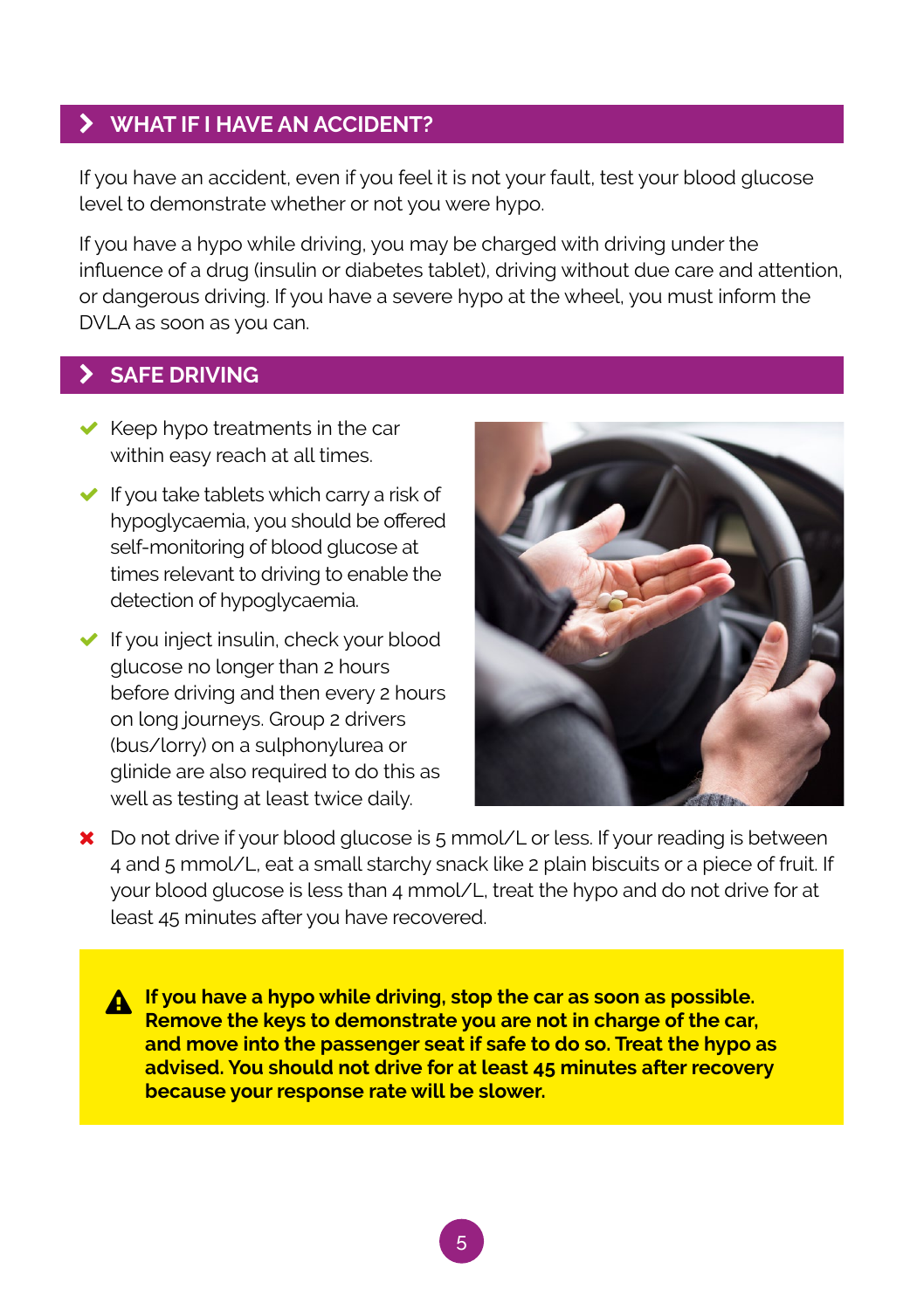#### k **WHAT IF I HAVE AN ACCIDENT?**

If you have an accident, even if you feel it is not your fault, test your blood glucose level to demonstrate whether or not you were hypo.

If you have a hypo while driving, you may be charged with driving under the influence of a drug (insulin or diabetes tablet), driving without due care and attention, or dangerous driving. If you have a severe hypo at the wheel, you must inform the DVLA as soon as you can.

## k **SAFE DRIVING**

- $\blacktriangleright$  Keep hypo treatments in the car within easy reach at all times.
- $\blacktriangleright$  If you take tablets which carry a risk of hypoglycaemia, you should be offered self-monitoring of blood glucose at times relevant to driving to enable the detection of hypoglycaemia.
- $\blacktriangleright$  If you inject insulin, check your blood glucose no longer than 2 hours before driving and then every 2 hours on long journeys. Group 2 drivers (bus/lorry) on a sulphonylurea or glinide are also required to do this as well as testing at least twice daily.



) Do not drive if your blood glucose is 5 mmol/L or less. If your reading is between 4 and 5 mmol/L, eat a small starchy snack like 2 plain biscuits or a piece of fruit. If your blood glucose is less than 4 mmol/L, treat the hypo and do not drive for at least 45 minutes after you have recovered.

**A** If you have a hypo while driving, stop the car as soon as possible. **Remove the keys to demonstrate you are not in charge of the car, and move into the passenger seat if safe to do so. Treat the hypo as advised. You should not drive for at least 45 minutes after recovery because your response rate will be slower.**